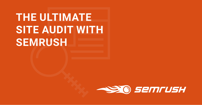# **THE ULTIMATE SITE AUDIT WITH SEMRUSH**

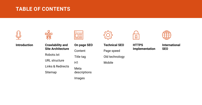### **[Introduction](#page-2-0) [Crawlability and](#page-4-0)  [Site Architecture](#page-4-0)**

[Robots.txt](#page-5-0)

[URL structure](#page-6-0)

[Links & Redirects](#page-7-0)

**[Sitemap](#page-9-0)** 

| $\bullet\bullet\bullet$ |  |
|-------------------------|--|
|                         |  |
|                         |  |
|                         |  |

**[On page SEO](#page-11-0)** [Content](#page-12-0) [Title tag](#page-13-0) [H1](#page-14-0) [Meta](#page-15-0)  [descriptions](#page-15-0) [Images](#page-16-0)





### **[Technical SEO](#page-18-0)**

[Page speed](#page-19-0)

[Old technology](#page-20-0)

[Mobile](#page-21-0)

**[HTTPS](#page-24-0) [Implementation](#page-24-0)**

**[International](#page-27-0)  [SEO](#page-27-0)**

### <span id="page-1-0"></span>**TABLE OF CONTENTS**



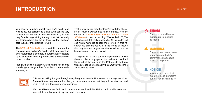### <span id="page-2-0"></span> $INTRODUCTION \equiv 3/30$

You have to regularly check your site's health and well-being, but performing a site audit can be very stressful, as the list of possible troubles your site may face is huge. Going through that list manually is a tedious chore, but luckily there is a tool that can sort out all of those issues for you.

The [SEMrush Site Audit](https://www.semrush.com/features/site-audit/) is a powerful instrument for checking your website's health. With fast crawling and customizable settings, it automatically detects up to 60 issues, covering almost every website disorder possible.

Along with this great tool you are going to need some knowledge under your belt for truly competent website analysis.

That is why we put together this PDF with the checklist of issues SEMrush Site Audit identifies. We also carried out [a new study on the most common on-site](https://www.semrush.com/blog/technical-seo-mistakes-semrush-study-2017/) [SEO issues](https://www.semrush.com/blog/technical-seo-mistakes-semrush-study-2017/) to read on our blog. We checked 100,000 websites and 450 million pages for 40 issues to find out which mistakes appear more often. In this research we present you with a the lineup of issues that might appear on your website as well as data on how often each mistake was detected.

This guide will provide you with explanations of why these problems crop up and tips on how to overhaul them. All of the issues in the PDF are divided into three categories by criticality, the same way as in the SEMrush Site Audit.



This e-book will guide you through everything from crawlability issues to on-page mistakes. Some of those may seem minor, but you have to make sure that they will not stack up and chain-react with devastating repercussions.

With the SEMrush Site Audit tool, our recent research and this PDF, you will be able to conduct a complete audit of your site quickly and effectively.

The most crucial issues that require immediate attention.

These issues have a lesser impact on a website's performance but should never be neglected.

Insignificant issues that might not pose a problem but still need attending to.

### **ERRORS**

### **WARNINGS**

### **NOTICES**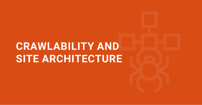# **CRAWLABILITY AND SITE ARCHITECTURE**

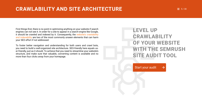First things first, there is no point in optimizing anything on your website if search engines can not see it. In order for a site to appear in a search engine like Google, it should be crawled and indexed by it. Consequently, the [website's crawlability](https://www.semrush.com/blog/what-are-crawlability-and-indexability-of-a-website/) [and indexability](https://www.semrush.com/blog/what-are-crawlability-and-indexability-of-a-website/) are two of the most commonly unseen elements that can harm your SEO effort if not addressed.

To foster better navigation and understanding for both users and crawl bots, you need to build a well-organized site architecture. SEO-friendly here equals user-friendly, just as it should. To achieve that you need to streamline your website's structure, and make sure that valuable, converting content is available and no more than four clicks away from your homepage.

### <span id="page-4-0"></span>**CRAWLABILITY AND SITE ARCHITECTURE**

### **LEVEL UP CRAWLABILITY OF YOUR WEBSITE**  WITH THE SEMRUSH **SITE AUDIT TOOL**

[Start your audit](https://www.semrush.com/siteaudit/?utm_source=PDF&utm_medium=all&utm_campaign=Site_Audit)

 $\rightarrow$ 

 $\equiv$  5/30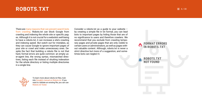There are many reasons that can prevent search bots [from crawling.](https://www.semrush.com/blog/crawlability-issues/) Robots.txt can block Google from crawling and indexing the whole site or specific pages. Although it is not crucial for a website's well-being to have a robots.txt, it can increase a site's crawling and indexing speed. But watch out for mistakes, as they can cause Google to ignore important pages of your site or crawl and index unnecessary ones. Despite the fact that building a robots file is not that hard, format errors are quite common: an empty user-agent line, the wrong syntax, mismatched directives, listing each file instead of shutting indexation for the whole directory or listing multiple directories in a single line.

### <span id="page-5-0"></span>**ROBOTS.TXT**

Consider a robots.txt as a guide to your website – by creating a simple file in txt format, you can lead bots to important pages by hiding those that are of no significance to users and therefore crawlers. We recommend that you exclude from crawling temporary pages and private pages that are only visible to certain users or administrators, as well as pages without valuable content. Although, robots.txt is never a strict directive but more of a suggestion, and sometimes bots can neglect it.



## **FORMAT ERRORS IN ROBOTS.TXT ROBOTS.TXT NOT FOUND**

To learn more about robots.txt files, look into [Google's manual on Robots.txt.](https://support.google.com/webmasters/answer/6062608?hl=en) If you want to validate an existing file, you can use [Robots.txt Tester.](https://support.google.com/webmasters/answer/6062598?hl=en)

 $\equiv$  6/30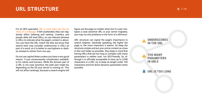For an SEO specialist [URL is more than just the ad](https://www.semrush.com/blog/on-page-seo-basics-urls/)[dress of a webpage.](https://www.semrush.com/blog/on-page-seo-basics-urls/) If left unattended, they can negatively affect indexing and ranking. Crawlers and people alike will read URLs, so use relevant phrases in URLs to indicate what the page's content is about. You can have the URL match the title, but know that search bots may consider underscores in URLs as part of a word, so it is better to use hyphens or dashes instead to refrain from mix-ups.

Do not use capital letters unless you have a very good reason. It just unnecessarily complicates readability for robots and humans. While the domain part of a URL is not case sensitive, the path part might be, depending on the OS your server is running on. This will not affect rankings, because a search engine will

URL structure can signal the page's importance to search engines. Generally speaking, the higher the page is, the more important it seems. So keep the structure simple and put your prime content as close to the root folder as possible. Also keep in mind that having URLs that are too long or complex with many parameters is neither user- nor SEO-friendly. So, although it is officially acceptable to have up to 2,048 characters in a URL, try to keep its length under 100 characters and trim down dynamic parameters when possible.

 $\equiv$  7/30

### <span id="page-6-0"></span>**URL STRUCTURE**

figure out the page no matter what, but if a user mistypes a case sensitive URL or your server migrates, you may run into problems in the form of a 404 error.

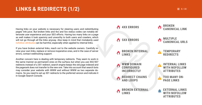### <span id="page-7-0"></span>**LINKS & REDIRECTS (1/2)**  $= 8/30$

Having links on your website is necessary for steering users and redistributing pages' link juice. But broken links and 4xx and 5xx status codes can notably deteriorate user experience and your SEO efforts. Having too many links on a page as well makes it look spammy and unworthy to both users and crawlers, which will not go through all the links anyway. Also keep in mind that mistakenly used [nofollow attributes](https://support.google.com/webmasters/answer/96569?hl=en) can be harmful, especially when applied to internal links.

If you have broken external links, reach out to the website owners. Carefully review your own links, replace or remove inoperative ones, and in the case of server errors, contact webhosting support.

Another concern here is dealing with temporary redirects. They seem to work in the same manner as permanent ones on the surface, but when you use 302/307 redirects instead of a 301 redirect, search engine keeps the old page indexed and the pagerank does not transfer to the new one. Take into account that search bots may consider your website with WWW and without WWW as two separate domains. So you need to set up 301 redirects to the preferred version and indicate it in Google Search Console. **REDIRECT CHAINS** 

**AND LOOPS**

**BROKEN INTERNAL**   $\bullet$ **LINKS**

**MULTIPLE CANONICAL URLS**



**BROKEN EXTERNAL**  O **LINKS** 

**TOO MANY ON-PAGE LINKS**

**WWW DOMAIN CONFIGURED INCORRECTLY**

**TEMPORARY REDIRECTS**

**INTERNAL LINKS WITH NOFOLLOW ATTRIBUTES**



**5XX ERRORS** 

**EXTERNAL LINKS WITH NOFOLLOW ATTRIBUTES**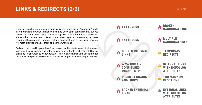### **LINKS & REDIRECTS (2/2)**  $= 9/30$

If you have multiple versions of a page, you need to use the rel="canonical" tag to inform crawlers of which version you want to show up in search results. But you have to be careful when using canonical tags. Make sure that the rel="canonical" element does not lead to a broken or non-existent page; this can severely decrease crawling efficiency. And if you set multiple canonical tags on one page, crawlers will most likely ignore all of them or pick the wrong one.

Redirect chains and loops will confuse crawlers and frustrate users with increased load speed. You also lose a bit of the original pagerank with each redirect. That is a big no-no for any website owner, however redirection mistakes tend to slip through the cracks and pile up, so you have to check linking on your website periodically.

**REDIRECT CHAINS AND LOOPS**

**BROKEN INTERNAL**   $\bullet$ **LINKS**

**MULTIPLE CANONICAL URLS**





**TOO MANY ON-PAGE LINKS**

**WWW DOMAIN CONFIGURED INCORRECTLY**

 $\bullet$ 

**TEMPORARY REDIRECTS**

**INTERNAL LINKS WITH NOFOLLOW ATTRIBUTES**



**EXTERNAL LINKS WITH NOFOLLOW ATTRIBUTES**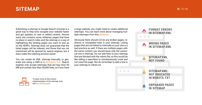<span id="page-9-0"></span>

Submitting a sitemap to Google Search Console is a great way to help bots navigate your website faster and get updates on new or edited content. Almost every site contains some utilitarian pages that have no place in search index and the sitemap is a way of highlighting the landing pages you want to end up on the SERPs. Sitemap does not guarantee that the listed pages will be indexed, and those that are not mentioned will be ignored by search engines, but it does make the indexing process easier.

You can create an XML sitemap manually, or generate one using a CMS or a [third-party tool.](https://code.google.com/archive/p/sitemap-generators/wikis/SitemapGenerators.wiki) Search engines only accept sitemaps that are less than 50 MB and contain less than 50,000 links, so if you have



a large website, you might need to create additional sitemaps. You can learn more about managing multiple sitemaps from this [guideline.](https://support.google.com/webmasters/answer/75712?visit_id=1-636373739560809522-1337840655&rd=1)

Obviously there should not be any broken pages, redirects or misspelled links in your sitemap. Listing pages that are not linked to internally on your site is a bad practice as well. If there are multiple pages with the same content, you should leave only the canonical one in sitemap. Do not add links to your sitemap that are blocked with the robots file, as this would be like telling a searchbot to simultaneously crawl and not crawl the page. But do remember to add a link to your sitemap to robots.txt.



To learn more on the correct implementation of the sitemap, look into [the official guide.](https://www.sitemaps.org/protocol.html)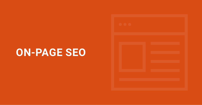**ON-PAGE SEO**

| OO |  |  |
|----|--|--|
|    |  |  |
|    |  |  |
|    |  |  |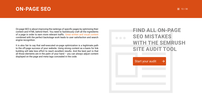### <span id="page-11-0"></span>**ON-PAGE SEO**  $\equiv 12/30$

On-page SEO is about improving the rankings of specific pages by optimizing their content and HTML behind them. You need to fastidiously craft all the ingredients of a page in order to earn more relevant traffic. [Great written and visual content](https://www.semrush.com/blog/content-optimization-list-blogging-for-people-and-search-engines/) combined with the perfect backstage work leads to user satisfaction and search engine recognition.

It is also fair to say that well-executed on-page optimization is a legitimate path to the off-page success of your website. Using strong content as a basis for link building will take less effort to reach excellent results. And the best part is that all those elements are in the palm of your hand  $-$  you can always adjust content displayed on the page and meta tags concealed in the code.

## **FIND ALL ON-PAGE SEO MISTAKES**  WITH THE SEMRUSH **SITE AUDIT TOOL**

 $\rightarrow$ 

[Start your audit](https://www.semrush.com/siteaudit/?utm_source=PDF&utm_medium=all&utm_campaign=Site_Audit)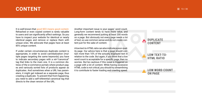### <span id="page-12-0"></span> $COMTEMT$   $\equiv$  13/30

It is well known that good SEO means good content. Rehashed or even copied content is rarely valuable to users and can significantly affect rankings. So you have to inspect your website for identical or nearly identical pages and remove or replace them with unique ones. We advocate that pages have at least 85% unique content.

If under certain circumstances duplicate content is appropriate, in order to avoid cannibalization (multiple pages targeting the same keywords) you have to indicate secondary pages with a rel="canonical" tag that links to the main one. It is a common distress of the e-commerce portals where product pages and variously sorted lists of products appear as duplicates. And sometimes when a URL has parameters, it might get indexed as a separate page, thus creating a duplicate. To prevent that from happening, you need to add a self-referential canonical tag that directs to the clean version of the URL.

Another important issue is your pages' word count. Long-form content tends to have more value, and generally we recommend putting at least 200 words on a page. But obviously not every page needs a lot of text, so use common sense and do not create content just for the sake of content.

A low text-to-HTML ratio can also indicate a poor-quality page. Our advice here is that a page should contain more than 10% of the actually displayed text in relation to the code. But again, if you think that a low word count is acceptable for a specific page, then no worries. But be cautious if this issue is triggered on a page with a lot of content. While having excessive HTML code is not critical, you should try streamlining it to contribute to faster loading and crawling speed.

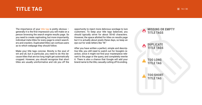### <span id="page-13-0"></span>**TITLE TAG**  $\blacksquare$  14/30

The importance of your [title tag](https://www.semrush.com/blog/on-page-seo-basics-page-titles/) is pretty obvious  $$ generally it is the first impression you will make on a person browsing the search engine results page. So you need to create captivating, but more importantly, individual meta titles for every page to orient searchers and crawlers. Duplicated titles can confuse users as to which webpage they should follow.

Make your title tags concise. Brevity is the soul of wit and all, but in particular, you need to do this because titles that are too long might get automatically cropped. However, you should recognize that short titles are usually uninformative and rob you off the

opportunity to inject more delicious wordage to lure customers. To keep your title tags balanced, you should typically strive for about 50-60 characters. However, the space allotted for titles on results page but it is actually about pixels these days, so keep an eye out for wide letters like "W."

After you have written a perfect, simple and descriptive title, you still need to watch out for Google's reaction, since it might not find your masterpiece relevant to the page or the query, and completely rewrite it. There is also a chance that Google will add your brand name to the title, casually cutting off its ending.

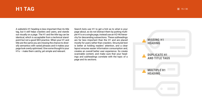<span id="page-14-0"></span>

A website's H1 heading is less important than its title tag, but it still helps crawlers and users, and stands out visually on a page. The H1 and the title tag can be identical, which is acceptable from a technical standpoint but not a good SEO practice. When your H1 and title are the same you are missing the chance to diversify semantics with varied phrases and it makes your page look overly optimised. Give some thought to your H1s – make them catchy, yet simple and relevant.

Search bots use H1 to get a hint as to what is your page about, so do not distract them by putting multiple H1s on a single page, instead use an H2-H6 hierarchy for descending subsections. These subheadings are far less important than the H1 and are placed mostly for users rather than crawlers. Structured text is better at holding readers' attention, and a clear layout ensures easier information consumption and, creates an overall better user experience. So create scannable content, and make sure that your headings and subheadings correlate with the topic of a page and its sections.



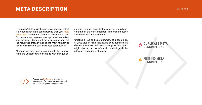### <span id="page-15-0"></span>**META DESCRIPTION**  $\equiv 16/30$

If your page's title tag is the proverbial book cover that it is judged upon in the search results, then your meta [description](https://www.semrush.com/blog/on-page-seo-basics-meta-descriptions/) is the back cover that sells it for a click. Of course, a missing meta description will not affect your rankings – Google will make one up for you. But the result will probably not be the most relevant or flashy, which may, in turn lower your potential CTR.

Although, on many occasions, it might be inconvenient and unnecessary to come up with a unique de-

> You can use [SEOmofo](http://www.seomofo.com/snippet-optimizer.html) to preview the appearance of your title, description, and URL in the snippet on Google's SERP.

scription for each page. In that case you should concentrate on the most important landings and leave all the rest with auto-generated.

Creating a loud-and-clear summary of a page is an art, but keep in mind that having copy-pasted meta descriptions is worse than not having any. Duplicates might obstruct a crawler's ability to distinguish the relevance and priority of a page.



### **DUPLICATE META**   $\bullet$ **DESCRIPTIONS**

**MISSING META DESCRIPTION**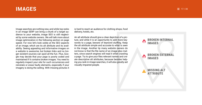<span id="page-16-0"></span>

Image searches are nothing new, and while top ranks in an image SERP can bring a chunk of a target audience to your website, image SEO is still neglected by some website owners. We will talk more about image optimization in the following section on page speed. For now let's look solely at the SEO aspects of an image; which are its alt attribute and its availability. Seeing appealing and informative images on a website is awesome, but broken links and no longer existent sources can spoil all the fun. Plus, Google may decide that your page is poorly coded and maintained if it contains broken images. You need to regularly inspect your site for such occurrences and reinstate or erase faulty elements, especially if your imagery is doing the selling. With missing pictures it is hard to reach an audience for clothing shops, food delivery, hotels, etc.

An alt attribute should give a clear depiction of a picture, and while it is an opportunity to add more keywords to a page, beware of keyword stuffing. Keep the alt attribute simple and accurate to what is seen in the image. Another tip many website owners do not know is that the file name of an image also matters, since search engines will read it when crawling a page. Try to give your files relevant names and create descriptive alt attributes, because besides helping you rank in image searches, it will also greatly aid visually impaired people.

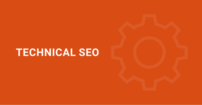# **TECHNICAL SEO**

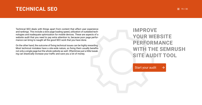### <span id="page-18-0"></span>**TECHNICAL SEO** 20130

Technical SEO deals with things apart from content that affect user experience and rankings. This include a slow page loading speed, utilization of outdated technologies and inadequate optimization for mobile devices. These are aspects of a website audit that you need to pay extra attention to, because poor page performance can bring to naught all the good SEO work that you have done.

On the other hand, the outcome of fixing technical issues can be highly rewarding. Most technical mistakes have a site-wide nature, so fixing them usually benefits not only a single page but the whole website as well. Oftentimes just a little tweaking can drastically increase your traffic and save you a lot of money.

### **IMPROVE YOUR WEBSITE PERFORMANCE**  WITH THE SEMRUSH **SITE AUDIT TOOL**

[Start your audit](https://www.semrush.com/siteaudit/?utm_source=PDF&utm_medium=all&utm_campaign=Site_Audit)

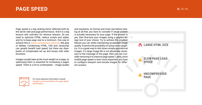Page speed is a big ranking factor affected both by the server side and page performance. And it is a big bounce rate cultivator for obvious reasons. So you need to optimize HTML, reduce scripts and styles, and try to keep page size to a minimum. One way to achieve this is [using compression schemes](https://betterexplained.com/articles/how-to-optimize-your-site-with-gzip-compression/) like gzip or deflate. Condensing HTML, CSS and Javascript can greatly benefit load speed, but there are drawbacks of complicated set up and issues with older browsers.

Images usually take up the most weight on a page, so optimizing them is essential for increasing a page's speed. There is a lot to contemplate – image quality

### <span id="page-19-0"></span>**PAGE SPEED**

and resolution, its format and more, but before looking at all that, you have to consider if visual content is actually necessary for your page. If the answer is yes, then fine-tune your images using a graphic design tool of your choice. Try to achieve the smallest filesize you can while maintaining acceptable image quality. Examine the possibility of using vector graphics. It is a great way to slim down simple geometrical images. If a large image file is not absolutely necessary to the message of the page, then you can consider removing it to improve page speed. Lastly, since mobile page speed is even more important, you have to configure viewport and rescale images for different screens.





For more extensive information consult [Google's recommendations for page speed](https://developers.google.com/speed/docs/insights/rules)  [optimization.](https://developers.google.com/speed/docs/insights/rules)

 $\equiv 20/30$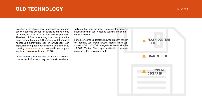### <span id="page-20-0"></span>**OLD TECHNOLOGY 21/30**

Evolution of the Internet never stops. And just as some species become extinct for others to thrive, some technologies have to go for the sake of progress. The death of Flash was a long time coming, and for good reason. From an SEO perspective (although it might give a more vibrant look to your website) Flash impoverishes a page's performance, and handicaps crawling. [Adobe announced](https://blogs.adobe.com/conversations/2017/07/adobe-flash-update.html) that it will stop supporting its technology by the end of 2020.

As for installing widgets and plugins from external domains with IFrames – they can come in handy and will not affect your rankings if implemented properly, but can also hurt your website's usability and complicate its indexing.

For a browser to understand how to properly render the content, you should always specify which version of HTML or XHTML a page is written in with the <!DOCTYPE> tag. Give it special attention if you are using an older version of a code.

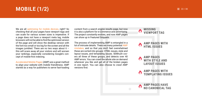We are all [optimizing for mobile devices,](https://www.semrush.com/blog/semrush-mobile-seo-tips/) right? So checking that all your pages have viewport tags and can scale for various screen sizes is imperative. If a page does not have a viewport meta tag, mobile browsers will not be able to find the optimized version of the page and will show the desktop version with the font too small or too big for the screen and all the images jumbled. There are no two ways about it  $$ this will scare away all your visitors and will worsen your rankings, especially considering Google's concept of mobile-first indexing.

[Accelerated Mobile Pages](https://support.google.com/webmasters/answer/6340290?hl=en) (AMP) are a great method to align your website with mobile friendliness. AMP started as a way for publishers to serve fast-loading

## <span id="page-21-0"></span>**MOBILE (1/2)**

content from a search engine results page, but now it is also a platform for e-commerce and advertising. The project constantly evolves, and now AMP pages can show up in Featured Snippets.

The process of implementing AMP is entangled in a lot of intricate details. There are many potential [AMP](https://www.ampproject.org/docs/reference/validation_errors) [mistakes,](https://www.ampproject.org/docs/reference/validation_errors) and so that you don't feel overwhelmed these are sorted into groups: HTML issues, style and layout issues, and templating issues. SEMrush covers all three of these groups, and detects over 40 AMP errors. You can crawl the whole site on demand whenever you like and get all of the broken pages in one report. You can also choose to crawl AMP versions first.

 $\equiv$  22/30

**AMP PAGES HAVE NO CANONICAL TAG**



**TEMPLATING ISSUES**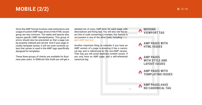

## **MOBILE (2/2)**  $\equiv 23/30$

Since the AMP format involves code restrictions and usage of custom AMP tags, errors in the HTML issues group are very common. The styles and layouts also require specific AMP standardisation. This group of errors should also be prevented so that a page can be properly indexed and served. And if your page includes template syntax, it will not work correctly unless that syntax is used in the AMP tags specifically designed for templates.

These three groups of checks are available for Business plan users. In SEMrush Site Audit you will get a detailed list of every AMP error for each page, with descriptions and fixing tips. You will also see the exact line of code containing a mistake; this feature is not present in any of the other tools, including [Goo](https://search.google.com/test/amp)[gle's AMP test tool.](https://search.google.com/test/amp)

Another important thing to consider if you have an AMP version of a page is ensuring it has a canonical tag, and is referenced on the non-AMP version. That way you will avoid duplicate content issues. If you only have an AMP page, add a self-referential canonical tag.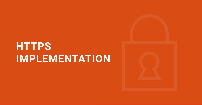# **HTTPS IMPLEMENTATION**

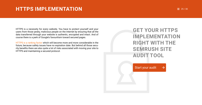### <span id="page-24-0"></span>**HTTPS IMPLEMENTATION**  $\equiv 25/30$

HTTPS is a necessity for every website. You have to protect yourself and your users from those pesky, malicious people on the Internet by ensuring that all the data transferred through your website is authentic, encrypted and intact. And of course there is a perk of Google's favouritism toward secured pages.

[HTTPS is a ranking factor](https://www.semrush.com/blog/https-just-a-google-ranking-signal/) which will become more and more considerable in the future, because safety issues have no expiration date. But behind all those security benefits there are also quite a lot of risks associated with moving your site to HTTPS and maintaining a secured protocol.

## **GET YOUR HTTPS IMPLEMENTATION RIGHT WITH THE SEMRUSH SITE AUDIT TOOL**

[Start your audit](https://www.semrush.com/siteaudit/?utm_source=PDF&utm_medium=all&utm_campaign=Site_Audit)

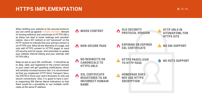### **HTTPS IMPLEMENTATION**  $\equiv 26/30$

When shifting your website to the secured protocol, you can come up against [multiple mistakes.](https://www.semrush.com/blog/https-implementation-mistakes-case-study/) Beware of missing redirects and canonicals to HTTPS URLs, as these can lead to lower rankings and cannibalization. Use a 301 redirect or rel="canonical" on the HTTP version to indicate that your primary version is on HTTPS now. Mind all the elements of a page, and only add HTTPS content to HTTPS pages to ward off security and UX issues. And remember to update your website internal linking and your sitemap with HTTPS URLs.

Keep an eye on your SSL certificate – it should be up to date, valid, and registered to the correct domain or your users will get upsetting notifications, which will certainly increase bounce rate. It is recommended that you implement HTTP Strict Transport Security (HSTS) to force your user's browsers to only use secure connections. Also, it is good to have a server supporting SNI (Server Name Indication) so that there would be a possibility to use multiple certificates at the same IP address.

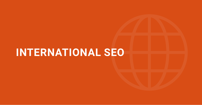# **INTERNATIONAL SEO**

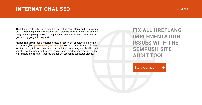### <span id="page-27-0"></span> $INTERNATIONAL$  SEO  $= 28/30$

The Internet makes the world small, globalization never stops, and international SEO is becoming more relevant than ever. Creating sites in more than one language is not a prerogative of big corporations, and smaller web portals can also gain a lot by geographic expansion.

Maintaining a multilingual website creates a specific set of potential problems. It is hard enough to [get the hreflang attribute right](https://www.semrush.com/blog/the-most-common-hreflang-mistakes-infographic/) so that your audiences in different locations will get the version of your page with the correct language. Besides that, you also need to signal to the search engine which results should be provided for which users and explain it that you are not just scattering duplicates around.

## **FIX ALL HREFLANG IMPLEMENTATION ISSUES WITH THE SEMRUSH SITE AUDIT TOOL**

[Start your audit](https://www.semrush.com/siteaudit/?utm_source=PDF&utm_medium=all&utm_campaign=Site_Audit)

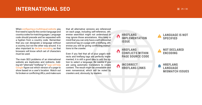### [29 / 30](#page-1-0) **INTERNATIONAL SEO**



When [configuring a multilingual website,](https://www.semrush.com/blog/guide-how-to-do-international-seo-with-semrush/) you first need to specify the correct language and country codes for matching pages. Language code should precede and be separated with a hyphen from a country code. Remember that you can designate a language without a country, but not the other way around. It is also important to [declare encoding](https://www.w3.org/International/tutorials/tutorial-char-enc/) so that browsers will know which set of characters must be used.

The main SEO problems of an international website are duplicates and redirects. Adding rel="alternate" hreflang="x" [tags will help](https://support.google.com/webmasters/answer/189077?hl=en) [Google](https://support.google.com/webmasters/answer/189077?hl=en) figure out which version of a page to show based on a user's location. Watch out for broken or conflicting URLs, and make sure

that all alternative versions are referenced on each page, including self-reference, otherwise searchbot might not understand or may ignore those annotations. Also keep in mind that you can only have a self-referential canonical tag on a page with a hreflang, otherwise you will be giving conflicting instructions to the crawler.

Even if you feel that all of your page's redirects and hreflang tags are perfectly implemented, it is still a good idea to add the option to select a language. Be careful if you are using automatic translators to create content. The result might be unreadable and even nonsensical, which will be noted by crawlers and, obviously, by readers.